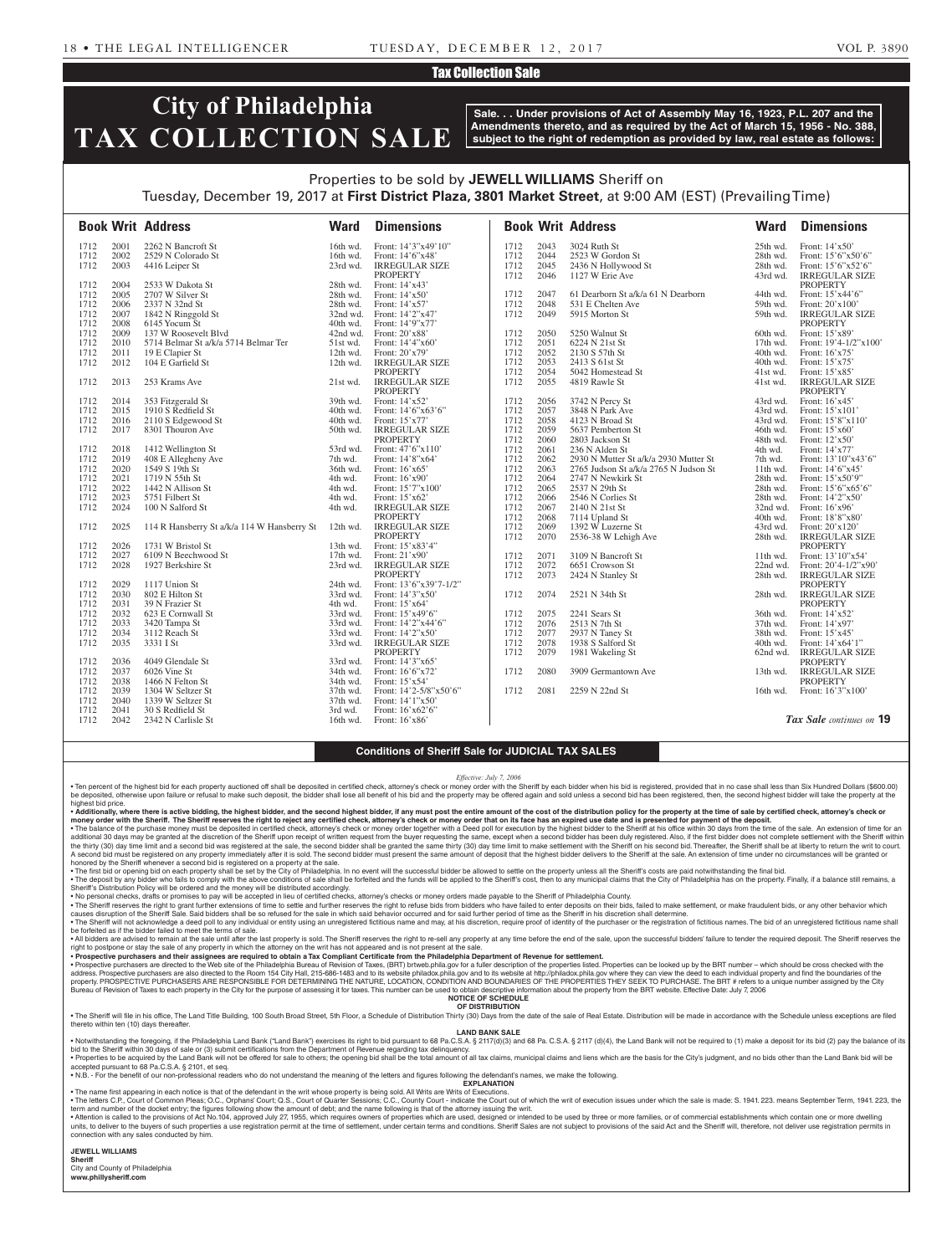# Tax Collection Sale

# **City of Philadelphia TAX COLLECTION SALE**

**Sale. . . Under provisions of Act of Assembly May 16, 1923, P.L. 207 and the Amendments thereto, and as required by the Act of March 15, 1956 - No. 388, subject to the right of redemption as provided by law, real estate as follows:**

# Properties to be sold by **JEWELL WILLIAMS** Sheriff on Tuesday, December 19, 2017 at **First District Plaza, 3801 Market Street**, at 9:00 AM (EST) (Prevailing Time)

|      |      | <b>Book Writ Address</b>                    | <b>Ward</b> | <b>Dimensions</b>                                 |      |      | <b>Book Writ Address</b>              | <b>Ward</b> | <b>Dimensions</b>                                |
|------|------|---------------------------------------------|-------------|---------------------------------------------------|------|------|---------------------------------------|-------------|--------------------------------------------------|
| 1712 | 2001 | 2262 N Bancroft St                          | 16th wd.    | Front: $14'3''x49'10''$                           | 1712 | 2043 | 3024 Ruth St                          | $25th$ wd.  | Front: $14'x50'$                                 |
| 1712 | 2002 | 2529 N Colorado St                          | 16th wd.    | Front: 14'6"x48                                   | 1712 | 2044 | 2523 W Gordon St                      | 28th wd.    | Front: 15'6"x50'6"                               |
| 1712 | 2003 | 4416 Leiper St                              | 23rd wd.    | <b>IRREGULAR SIZE</b>                             | 1712 | 2045 | 2436 N Hollywood St                   | 28th wd.    | Front: $15^{\circ}6^{\circ}x52^{\circ}6^{\circ}$ |
|      |      |                                             |             | <b>PROPERTY</b>                                   | 1712 | 2046 | 1127 W Erie Ave                       | 43rd wd.    | <b>IRREGULAR SIZE</b>                            |
| 1712 | 2004 | 2533 W Dakota St                            | 28th wd.    | Front: 14'x43'                                    |      |      |                                       |             | <b>PROPERTY</b>                                  |
| 1712 | 2005 | 2707 W Silver St                            | 28th wd.    | Front: 14'x50'                                    | 1712 | 2047 | 61 Dearborn St a/k/a 61 N Dearborn    | 44th wd.    | Front: 15'x44'6"                                 |
| 1712 | 2006 | 2337 N 32nd St                              | 28th wd.    | Front: 14'x57'                                    | 1712 | 2048 | 531 E Chelten Ave                     | 59th wd.    | Front: $20'x100'$                                |
| 1712 | 2007 | 1842 N Ringgold St                          | 32nd wd.    | Front: 14'2"x47'                                  | 1712 | 2049 | 5915 Morton St                        | 59th wd.    | <b>IRREGULAR SIZE</b>                            |
| 1712 | 2008 | 6145 Yocum St                               | 40th wd.    | Front: 14'9"x77'                                  |      |      |                                       |             | <b>PROPERTY</b>                                  |
| 1712 | 2009 | 137 W Roosevelt Blvd                        | 42nd wd.    | Front: 20'x88'                                    | 1712 | 2050 | 5250 Walnut St                        | 60th wd.    | Front: $15'x89'$                                 |
| 1712 | 2010 | 5714 Belmar St a/k/a 5714 Belmar Ter        | 51st wd.    | Front: $14'4''x60'$                               | 1712 | 2051 | 6224 N 21st St                        | $17th$ wd.  | Front: $19'4-1/2''x100'$                         |
| 1712 | 2011 | 19 E Clapier St                             | 12th wd.    | Front: 20'x79'                                    | 1712 | 2052 | 2130 S 57th St                        | 40th wd.    | Front: $16'x75'$                                 |
| 1712 | 2012 | 104 E Garfield St                           | 12th wd.    | <b>IRREGULAR SIZE</b>                             | 1712 | 2053 | 2413 S 61st St                        | 40th wd.    | Front: $15'x75'$                                 |
|      |      |                                             |             | <b>PROPERTY</b>                                   | 1712 | 2054 | 5042 Homestead St                     | 41st wd.    | Front: 15'x85'                                   |
| 1712 | 2013 | 253 Krams Ave                               | 21st wd.    | <b>IRREGULAR SIZE</b>                             | 1712 | 2055 | 4819 Rawle St                         | $41st$ wd.  | <b>IRREGULAR SIZE</b>                            |
|      |      |                                             |             | <b>PROPERTY</b>                                   |      |      |                                       |             | <b>PROPERTY</b>                                  |
| 1712 | 2014 | 353 Fitzgerald St                           | 39th wd.    | Front: 14'x52'                                    | 1712 | 2056 | 3742 N Percy St                       | 43rd wd.    | Front: $16'x45'$                                 |
| 1712 | 2015 | 1910 S Redfield St                          | $40th$ wd.  | Front: 14'6"x63'6"                                | 1712 | 2057 | 3848 N Park Ave                       | 43rd wd.    | Front: $15'x101'$                                |
| 1712 | 2016 | 2110 S Edgewood St                          | $40th$ wd.  | Front: 15'x77'                                    | 1712 | 2058 | 4123 N Broad St                       | 43rd wd.    | Front: $15'8''x110'$                             |
| 1712 | 2017 | 8301 Thouron Ave                            | 50th wd.    | <b>IRREGULAR SIZE</b>                             | 1712 | 2059 | 5637 Pemberton St                     | 46th wd.    | Front: $15'x60'$                                 |
|      |      |                                             |             | <b>PROPERTY</b>                                   | 1712 | 2060 | 2803 Jackson St                       | 48th wd.    | Front: $12'x50'$                                 |
| 1712 | 2018 | 1412 Wellington St                          | 53rd wd.    | Front: 47'6"x110"                                 | 1712 | 2061 | 236 N Alden St                        | 4th wd.     | Front: 14'x77'                                   |
| 1712 | 2019 | 408 E Allegheny Ave                         | 7th wd.     | Front: 14'8"x64'                                  | 1712 | 2062 | 2930 N Mutter St a/k/a 2930 Mutter St | 7th wd.     | Front: 13'10"x43'6"                              |
| 1712 | 2020 | 1549 S 19th St                              | 36th wd.    | Front: 16'x65'                                    | 1712 | 2063 | 2765 Judson St a/k/a 2765 N Judson St | $11th$ wd.  | Front: 14'6"x45'                                 |
| 1712 | 2021 | 1719 N 55th St                              | 4th wd.     | Front: 16'x90'                                    | 1712 | 2064 | 2747 N Newkirk St                     | 28th wd.    | Front: 15'x50'9"                                 |
| 1712 | 2022 | 1442 N Allison St                           | 4th wd.     | Front: 15'7"x100"                                 | 1712 | 2065 | 2537 N 29th St                        | 28th wd.    | Front: $15'6''x65'6''$                           |
| 1712 | 2023 | 5751 Filbert St                             | 4th wd.     | Front: 15'x62'                                    | 1712 | 2066 | 2546 N Corlies St                     | 28th wd.    | Front: 14'2"x50"                                 |
| 1712 | 2024 | 100 N Salford St                            | 4th wd.     | <b>IRREGULAR SIZE</b>                             | 1712 | 2067 | 2140 N 21st St                        | 32nd wd.    | Front: $16'$ x96'                                |
|      |      |                                             |             | <b>PROPERTY</b>                                   | 1712 | 2068 | 7114 Upland St                        | 40th wd.    | Front: 18'8"x80"                                 |
| 1712 | 2025 | 114 R Hansberry St a/k/a 114 W Hansberry St | 12th wd.    | <b>IRREGULAR SIZE</b>                             | 1712 | 2069 | 1392 W Luzerne St                     | 43rd wd.    | Front: 20'x120'                                  |
|      |      |                                             |             | <b>PROPERTY</b>                                   | 1712 | 2070 | 2536-38 W Lehigh Ave                  | 28th wd.    | <b>IRREGULAR SIZE</b>                            |
| 1712 | 2026 | 1731 W Bristol St                           | 13th wd.    | Front: 15'x83'4"                                  |      |      |                                       |             | <b>PROPERTY</b>                                  |
| 1712 | 2027 | 6109 N Beechwood St                         | 17th wd.    | Front: 21'x90'                                    | 1712 | 2071 | 3109 N Bancroft St                    | $11th$ wd.  | Front: 13'10"x54'                                |
| 1712 | 2028 | 1927 Berkshire St                           | 23rd wd.    | <b>IRREGULAR SIZE</b>                             | 1712 | 2072 | 6651 Crowson St                       | 22nd wd.    | Front: 20'4-1/2"x90'                             |
|      |      |                                             |             | <b>PROPERTY</b>                                   | 1712 | 2073 | 2424 N Stanley St                     | 28th wd.    | <b>IRREGULAR SIZE</b>                            |
| 1712 | 2029 | 1117 Union St                               | 24th wd.    | Front: 13'6"x39'7-1/2"                            |      |      |                                       |             | <b>PROPERTY</b>                                  |
| 1712 | 2030 | 802 E Hilton St                             | 33rd wd.    | Front: 14'3"x50'                                  | 1712 | 2074 | 2521 N 34th St                        | 28th wd.    | <b>IRREGULAR SIZE</b>                            |
| 1712 | 2031 | 39 N Frazier St                             | 4th wd.     | Front: 15'x64'                                    |      |      |                                       |             | <b>PROPERTY</b>                                  |
| 1712 | 2032 | 623 E Cornwall St                           | 33rd wd.    | Front: 15'x49'6"                                  | 1712 | 2075 | 2241 Sears St                         | 36th wd.    | Front: 14'x52'                                   |
| 1712 | 2033 | 3420 Tampa St                               | 33rd wd.    | Front: 14'2"x44'6"                                | 1712 | 2076 | 2513 N 7th St                         | 37th wd.    | Front: $14'x97'$                                 |
| 1712 | 2034 | 3112 Reach St                               | 33rd wd.    | Front: 14'2"x50"                                  | 1712 | 2077 | 2937 N Taney St                       | 38th wd.    | Front: $15'x45'$                                 |
| 1712 | 2035 | 3331 I St                                   | 33rd wd.    | <b>IRREGULAR SIZE</b>                             | 1712 | 2078 | 1938 S Salford St                     | 40th wd.    | Front: 14'x64'1"                                 |
|      |      |                                             |             | <b>PROPERTY</b>                                   | 1712 | 2079 | 1981 Wakeling St                      | 62nd wd.    | <b>IRREGULAR SIZE</b>                            |
| 1712 | 2036 | 4049 Glendale St                            | 33rd wd.    | Front: 14'3"x65'                                  |      |      |                                       |             | <b>PROPERTY</b>                                  |
| 1712 | 2037 | 6026 Vine St                                | 34th wd.    | Front: 16'6"x72'                                  | 1712 | 2080 | 3909 Germantown Ave                   | 13th wd.    | <b>IRREGULAR SIZE</b>                            |
| 1712 | 2038 | 1466 N Felton St                            | 34th wd.    | Front: 15'x54'                                    |      |      |                                       |             | <b>PROPERTY</b>                                  |
| 1712 | 2039 | 1304 W Seltzer St                           | 37th wd.    | Front: $14'2-5/8''x50'6''$                        | 1712 | 2081 | 2259 N 22nd St                        | 16th wd.    | Front: $16'3''x100'$                             |
| 1712 | 2040 | 1339 W Seltzer St                           | $37th$ wd.  | Front: 14'1"x50'                                  |      |      |                                       |             |                                                  |
| 1712 | 2041 | 30 S Redfield St                            | 3rd wd.     | Front: 16'x62'6"                                  |      |      |                                       |             |                                                  |
| 1712 | 2042 | 2342 N Carlisle St                          | 16th wd.    | Front: $16'$ x 86 <sup><math>\degree</math></sup> |      |      |                                       |             | Tax Sale continues on 19                         |

# **Conditions of Sheriff Sale for JUDICIAL TAX SALES**

*Effective: July 7, 2006*

. Ten percent of the highest bid for each property auctioned off shall be deposited in certified check, attorney's check or money order with the Sheriff by each bidder when his bid is registered, provided that in no case s be deposited, otherwise upon failure or refusal to make such deposit, the bidder shall lose all benefit of his bid and the property may be offered again and sold unless a second bid has been registered, then, the second hi highest bid price

• Additionally, where there is active bidding, the highest bidder, and the second highest bidder, if any must post the entire amount of the cost of the distribution policy for the property at the time of sale by certified • The balance of the purchase money must be deposited in certified check, attorney's check or money order together with a Deed poll for execution by the highest bidder to the Sheriff at his office within 30 days from the t the thirty (30) day time limit and a second bid was registered at the sale, the second bidder shall be granted the same amount of deposit that the hist or make settlement with the Sheriff at the second bid. Thereafter, the honored by the Sheriff whenever a second bid is registered on a property at the sale.

The first bid or opening bid on each property shall be set by the City of Philadelphia. In no event will the successful bidder be allowed to settle on the property unless all the Sheriff's costs are paid notwithstanding th . The deposit by any bidder who fails to comply with the above conditions of sale shall be forfeited and the funds will be applied to the Sheriff's cost, then to any municipal claims that the City of Philadelphia has on th Sheriff's Distribution Policy will be ordered and the money will be distributed accordingly.

• No personal checks, drafts or promises to pay will be accepted in lieu of certified checks, attorney's checks or money orders made payable to the Sheriff of Philadelphia County.

• The Sheriff reserves the right to grant further extensions of time to settle and further reserves the right to refuse bids from bidders who have failed to enter deposits on their bids, failed to make settlement, or make

• The Sheriff will not acknowledge a deed poll to any individual or entity using an unregistered fictitious name and may, at his discretion, require proof of identity of the purchaser or the registration of fictitious name . All bidders are advised to remain at the sale until after the last property is sold. The Sheriff reserves the right to re-sell any property at any time before the end of the sale, upon the successful bidders' failure to

right to postpone or stay the sale of any property in which the attorney on the writ has not appeared and is not present at the sale.<br>• Prospective purchasers and their assignees are required to obtain a Tax Compliant Cert

• Prospective purchasers are directed to the Web site of the Philadelphia Bureau of Revision of Taxes, (BRT) brtweb.phila.gov for a fuller description of the properties listed. Properties can be looked up by the BRT number Burgar of Revision of Taxes to each property in the City for the purpose of assessing it for taxes. This number can be used to obtain descriptive information about the property from the BRT website. Effective Date: July 7, **NOTICE OF SCHEDULE**

## **OF DISTRIBUTION**

. The Sheriff will file in his office, The Land Title Building, 100 South Broad Street, 5th Floor, a Schedule of Distribution Thirty (30) Days from the date of the sale of Real Estate. Distribution will be made in accordan thereto within ten (10) days thereafter

## **LAND BANK SALE**

• Notwithstanding the foregoing, if the Philadelphia Land Bank ("Land Bank") exercises its right to bid pursuant to 68 Pa.C.S.A. § 2117(d)(3) and 68 Pa. C.S.A. § 2117 (d)(4), the Land Bank will not be required to (1) make . Properties to be acquired by the Land Bank will not be offered for sale to others; the opening bid shall be the total amount of all tax claims, municipal claims and liens which are the basis for the City's judgment, and accepted pursuant to 68 Pa.C.S.A. § 2101, et seq.

• N.B. - For the benefit of our non-professional readers who do not understand the meaning of the letters and figures following the defendant's names, we make the following. **EXPLANATION** 

• The name first appearing in each notice is that of the defendant in the writ whose property is being sold. All Writs are Writs of Executions.

. The letters C.P., Court of Common Pleas; O.C., Orphans' Court; Q.S., Court of Quarter Sessions; C.C., County Court - indicate the Court out of which the writ of execution issues under which the sale is made: S. 1941. 223 term and number of the docket entry; the figures following show the amount of debt; and the name following is that of the attorney issuing the writ.

. Attention is called to the provisions of Act No.104, approved July 27, 1955, which requires owners of properties which are used, designed or intended to be used by three or more families, or of commercial establishments units, to deliver to the Sheriff will, therefore, not deliver use registration permits in the member of the structure of the same of settlement, under certain terms and conditions. Sheriff Sales are not subject to provisio connection with any sales conducted by him.

**JEWELL WILLIAMS Sheriff** 

City and County of Philadelphia **www.phillysheriff.com**